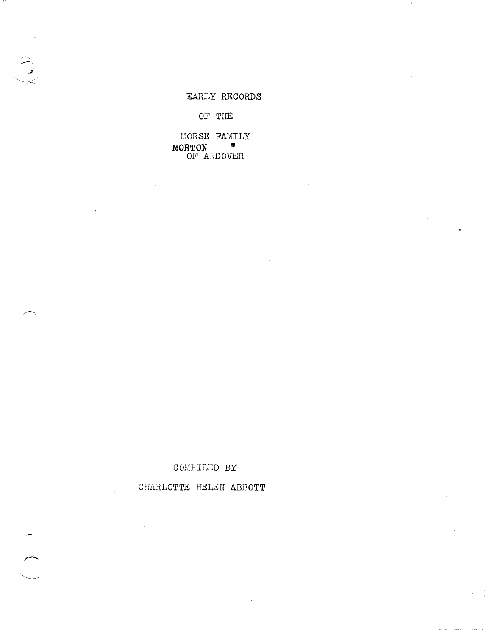# EARLY RECORDS

OF THE

MORSE FAMILY  $\begin{array}{cc}\n\text{MORTON} & \text{m} \\
\text{OF} & \text{ANDOVER}\n\end{array}$ 

### COMPILED BY

# CHARLOTTE HELEN ABBOTT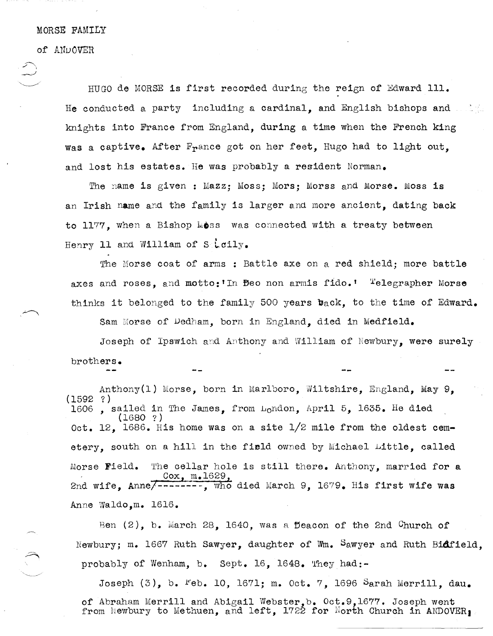### MORSE FAMILY

of ANDOVER

HUGO de MORSE is first recorded during the reign of Edward Ill. He conducted a party including a cardinal, and English bishops and knights into France from England, during a time when the French king Was a captive. After France got on her feet, Hugo had to light out, and lost his estates. He was probably a resident Norman.

The name is given: Mazz: Moss: Mors: Morss and Morse. Moss is an Irish name and the family is larger and more ancient, dating back to 1177, when a Bishop Moss was connected with a treaty between Henry 11 and William of Steily.

The Morse coat of arms : Battle axe on a red shield; more battle axes and roses, and motto: In Beo non armis fido.' Telegrapher Morse thinks it belonged to the family 500 years back, to the time of Edward.

Sam Morse of Dedham, born in England, died in Medfield.

Joseph of Ipswich and Anthony and William of Newbury, were surely brothers.

Anthony(l) Morse, born in Marlboro, Wiltshire, England, May 9, (1592 ?) 1606 , sailed in The James, from London, April 5, 1635. He died (1680 ?) Oct. 12, 1686. His home was on a site 1/2 mile from the oldest cemetery, south on a hill in the field owned by Michael Little, called Morse Field. The cellar hole is still there. Anthony, married for a Cox, m.1629,<br>2nd wife, Anne/--------, who died March 9, 1679. His first wife was Anne Waldo, m. 1616.

Ben  $(2)$ , b. March 28, 1640, was a Deacon of the 2nd Church of Newbury; m. 1667 Ruth Sawyer, daughter of Wm. Sawyer and Ruth Bidfield, probably of Wenham, b. Sept. 16, 1648. They had:-

Joseph  $(3)$ , b. <sup>r</sup>eb. 10, 1671; m. Oct. 7, 1696 Sarah Merrill, dau. of Abraham Merrill and Abigail Webster,b. Oct.9,1677. Joseph went of Abraham meritit and Abigail webster, of Oct. , 1077. Joseph went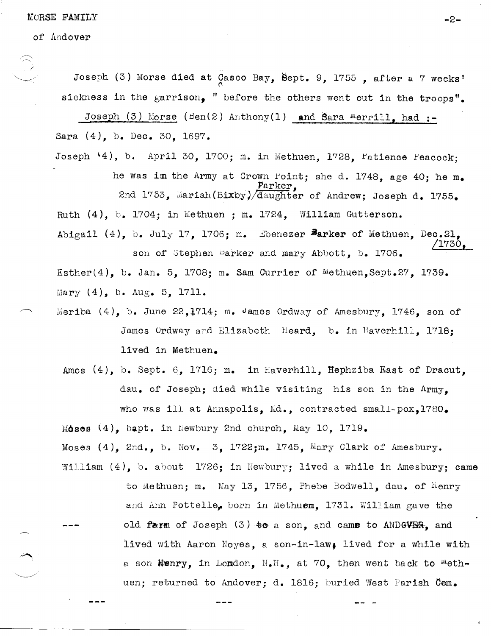MORSE FAMILY  $-2$ 

of Andover

Joseph (3) Morse died at Casco Bay, Sept. 9, 1755, after a 7 weeks' sickness in the garrison, " before the others went out in the troops".

Joseph (3) Morse (Ben(2) Anthony(1) and Sara Merrill, had :-Sara (4), b. Dec. 30, 1697.

Joseph  $\{4\}$ , b. April 30, 1700; m. in Methuen, 1728,  $r_{\text{attence}}$   $F_{\text{eacock}}$ ; he was im the Army at Crown Point; she d. 1748, age 40; he m. , Parker, 2nd 1753, Mariah(Bixby)/daughter of Andrew; Joseph d. 1755. Ruth  $(4)$ , b. 1704; in Methuen; m. 1724, William Gutterson. Abigail (4), b. July 17, 1706; m. Ebenezer Barker of Methuen, Dec.21, /1730, son of Stephen Darker and mary Abbott, b. 1706.

Esther(4), b. Jan. 5, 1708; m. Sam Currier of Methuen, Sept.27, 1739. Mary  $(4)$ , b. Aug. 5, 1711.

- Meriba  $(4)$ , b. June 22,1714; m. James Ordway of Amesbury, 1746, son of James Ordway and Elizabeth Heard, b. in Haverhill, 1718; lived in Methuen.
	- Amos (4), b. Sept. 6, 1716; m. in Haverhill, Hephziba East of Dracut, dau. of Joseph: died while visiting his son in the Army. who was ill at Annapolis. Md., contracted small-pox.1780.  $M$ oses  $(4)$ , bapt. in Newbury 2nd church, May 10, 1719.

Moses  $(4)$ , 2nd., b. Nov. 3, 1722; m. 1745, Mary Clark of Amesbury. William (4), b. about 1726; in Newbury; lived a while in Amesbury; came

> to Methuen; m. May 13, 1756, Phebe Bodwell, dau. of  $\text{Henry}$ and Ann Pottelle, born in Methuem, 1731. William gave the old farm of Joseph (3)  $*$ o a son, and came to ANDGVER, and lived with Aaron Noyes, a son-in-law§ lived for a while with a son Henry, in Lomdon,  $N_{\bullet}H_{\bullet}$ , at 70, then went back to "ethuen; returned to Andover; d. 1816; buried West Parish Cem.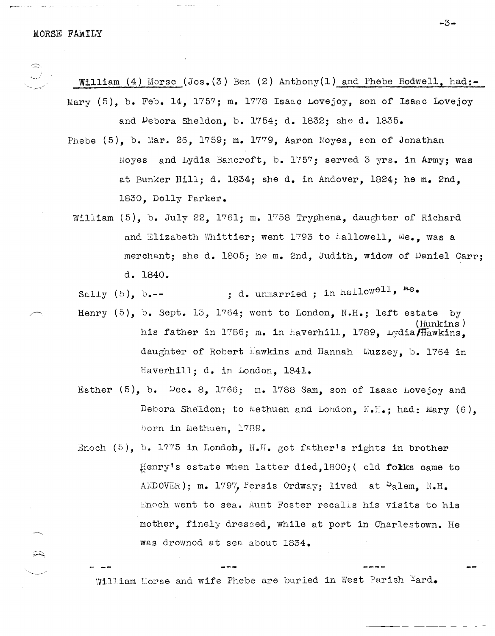$\widehat{\phantom{a}}$ 

William (4) Morse (Jos.  $(3)$  Ben  $(2)$  Anthony(1) and Phebe Bodwell, had:-Mary (5), b. Feb. 14, 1757; m. 1778 Isaac Lovejoy, son of Isaac Lovejoy

and Vebora Sheldon, b. 1754; d. 1832; she d. 1835.

- Phebe  $(5)$ , b. Mar. 26, 1759; m. 1779, Aaron Noyes, son of Jonathan Royes and Lydia Bancroft, b. 1757; served 3  $yrs$ . in Army; was at Bunker Hill; d. 1834; she d. in Andover, 1824; he m. 2nd, 1830, Dolly Parker.
- William (5), b. July 22, 1761; m. 1758 Tryphena, daughter of Richard and Elizabeth Whittier; went 1793 to Hallowell.  $Me_{\bullet}$ , was a merchant; she d. 1805; he m. 2nd, Judith, widow of Daniel Carr; d. 1840.

Sally  $(5)$ , b.--  $\qquad \qquad ;$  d. unmarried ; in hallowell,  $^{1/2}$ .

- Henry  $(5)$ , b. Sept. 13, 1764; went to London, N.H.; left estate by (Hunkins)<br>1789, Lydia father in 1786; m. in Haverhill, 1789, Lydia fiawkins, daughter of Robert Hawkins and Hannah  $Muzzey$ , b. 1764 in Haverhill; d. in London. 1841.
- Esther  $(5)$ , b.  $Dec. 8$ , 1766; m. 1788 Sam, son of Isaac Lovejoy and Debora Sheldon; to Methuen and London,  $N \cdot H_{\bullet}$ ; had: Mary (6). born in Methuen. 1789.
- Enoch  $(5)$ , b. 1775 in London, N.H. got father's rights in brother Henry's estate when latter died, 1800; (old folks came to ANDOVER); m. 1797, Persis Ordway; lived at  $S_{\text{a}}$ lem, N.H. Enoch went to sea. Aunt Foster recalls his visits to his mother, finely dressed, while at port in Charlestown. He was drowned at sea about 1834.

William Horse and wife Phebe are buried in West Parish  $Yard$ .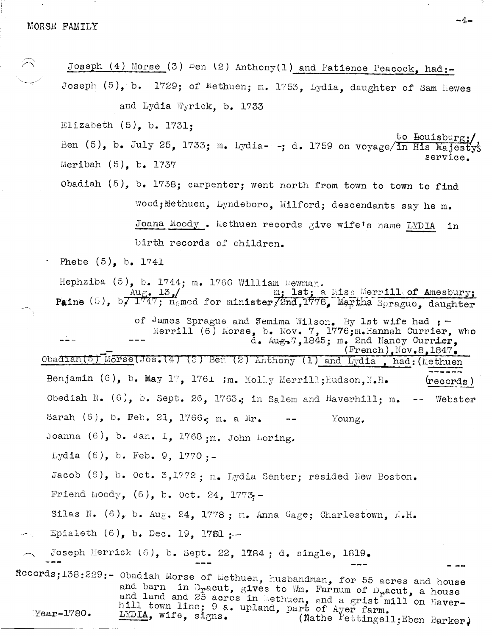Joseph (4) Morse (3) Ben (2) Anthony(1) and Patience Peacock, had:-Joseph (5), b. 1729; of Methuen; m. 1753, Lydia, daughter of Sam Hewes and Lydia Wyrick, b. 1733 Elizabeth  $(5)$ , b. 1731: to Houisburg: Ben (5), b. July 25, 1733; m. Lydia ---; d. 1759 on voyage/in His Majesty's service. Meribah  $(5)$ , b. 1737 Obadiah (5), b. 1738; carpenter; went north from town to town to find wood; Methuen, Lyndeboro, Milford; descendants say he m. Joana Moody. Methuen records give wife's name LYDIA in birth records of children. Phebe  $(5)$ , b. 1741 Hephziba  $(5)$ , b. 1744; m. 1760 William Newman. Paine (5), b,  $\frac{\text{Aug. 13}}{1747; \text{ named for minister Zand,1778}}$  Martha Sprague, daughter of James Sprague and Jemima Wilson. By 1st wife had :-<br>Merrill (6) Morse, b. Nov. 7, 1776; m. Hannah Currier, who<br>d. Aug. 7, 1845; m. 2nd Nancy Currier,  $(French)$ , Nov. 8, 1847. Obadian(5) Morse(Jos. (4) (3) Ben (2) Anthony (1) and Lydia. had: (Methuen Benjamin (6), b. May 17, 1761 ; m. Molly Merrill; Hudson, N.H. (records ) Obediah N.  $(6)$ , b. Sept. 26, 1763.; in Salem and Haverhill; m.  $\rightarrow$   $\rightarrow$ Webster Sarah (6), b. Feb. 21, 1766. m. a Mr. Young. Joanna  $(6)$ , b. Jan. 1, 1768; m. John Loring. Lydia (6), b. Feb. 9, 1770 :-Jacob (6), b. Oct. 3,1772; m. Lydia Senter; resided New Boston. Friend Moody,  $(6)$ , b. Oct. 24. 1773-Silas N.  $(6)$ , b. Aug. 24, 1778; m. Anna Gage; Charlestown, N.H. Epialeth  $(6)$ , b. Dec. 19, 1721;-Joseph Herrick (6), b. Sept. 22, 1784; d. single, 1819. Records;138:229:- Obadiah Morse of Methuen, husbandman, for 55 acres and house and barn in Dracut, gives to Wm. Farnum of Dracut, a house and land and 25 acres in Methuen, and a grist mill on Haver-<br>hill town line; 9 a. upland, part of Ayer farm.  $Year-1780.$ LYDIA, wife, signs. (Nathe Pettingell; Eben Barker)

 $-4-$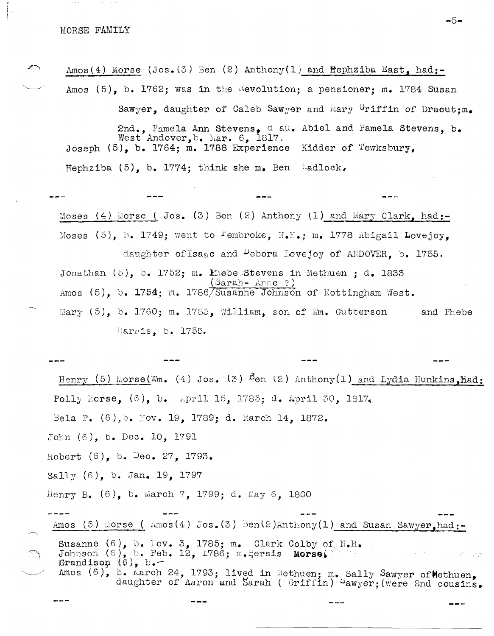Amos(4) Morse (Jos. (3) Ben (2) Anthony(1) and Hephziba East. had:-Amos  $(5)$ , b. 1762; was in the Revolution; a pensioner; m. 1784 Susan

Sawyer, daughter of Caleb Sawyer and Mary Griffin of Dracut: m. 2nd., Pamela Ann Stevens, dau. Abiel and Pamela Stevens. b. West Andover,  $b_{\bullet}$  Mar. 6, 1817. Joseph  $(5)$ , b. 1764; m. 1788 Experience Kidder of Tewksbury, Hephziba  $(5)$ , b. 1774; think she m. Ben Hadlock,

Moses (4) Morse ( Jos. (3) Ben (2) Anthony (1) and Mary Clark, had:-Moses (5), b. 1749; went to <sup>r</sup>embroke, N.H.; m. 1778 Abigail Lovejoy. daughter of Isaac and Debora Lovejoy of ANDOVER, b. 1755. Jonathan  $(5)$ , b. 1752; m. Phebe Stevens in Methuen : d. 1833  $(Sarah- Anne ?)$ Amos (5), b. 1754; m. 1786/Susanne Johnson of Nottingham West. Mary  $(5)$ , b. 1760; m. 1783, William, son of Wm. Gutterson and Phebe Harris, b. 1755.

Henry (5) Morse(Wm. (4) Jos. (3)  $\frac{5}{2}$  anthony(1) and Lydia Hunkins. Had: Polly Morse,  $(6)$ , b. April 15, 1785; d. April 30, 1817, Bela P. (6), b. Nov. 19, 1789; d. March 14, 1872. John (6), b. Dec. 10, 1791 Robert  $(6)$ , b. Dec. 27, 1793. Sally  $(6)$ , b. Jan. 19, 1797 Henry B.  $(6)$ , b. March 7, 1799; d. May 6, 1800 Amos (5) Morse ( $\text{Amos}(4)$  Jos. (3) Ben(2)Anthony(1) and Susan Sawyer.had:-Susanne (6), b. Nov. 3, 1785; m. Clark Colby of  $N.H.$ Johnson (6), b. Feb. 12, 1786; m. Eersis Morse. Grandison  $(6)$ , b.

Amos (6), b. March 24, 1793; lived in Methuen; m. Sally Sawyer of Methuen, daughter of Aaron and Sarah (Griffin) Sawyer; (were 2nd cousins.

 $-5-$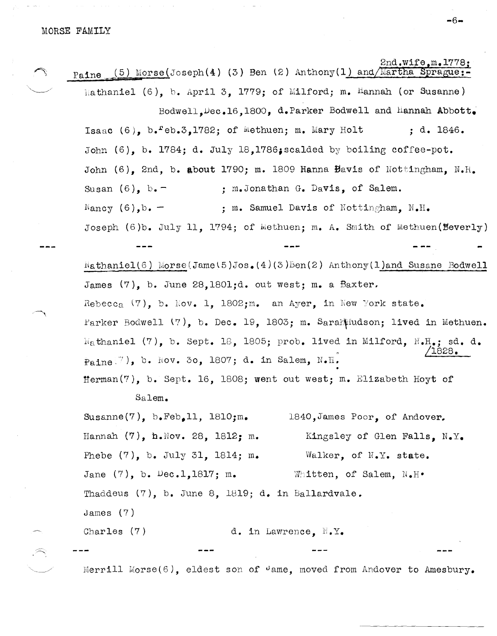2nd.wife.m.1778: (5) Morse(Joseph(4) (3) Ben (2) Anthony(1) and/Martha Sprague:-Paine Mathaniel (6), b. April 3, 1779; of Milford; m. Hannah (or Susanne) Bodwell, Dec.16.1800, d. Parker Bodwell and Hannah Abbott. Isaac  $(6)$ ,  $b$ .  $eb.3$ , 1782; of Methuen; m. Mary Holt  $\ddot{a}$ . 1846. John (6), b. 1784; d. July 18.1786; scalded by boiling coffee-pot. John (6). 2nd. b. about 1790: m. 1809 Hanna Bavis of Nottingham.  $N.H.$ Susan  $(6)$ . b.  $-$ ; m. Jonathan G. Davis, of Salem.  $\mathbb{N}$ ancy  $(6)$ , b. -: m. Samuel Davis of Nottingham. N.H. Joseph  $(6)$ b. July 11. 1794; of Wethuen; m. A. Smith of Methuen(Beverly)  $Nathaniel(6)$  Morse(Jame(5)Jos. (4)(3)Ben(2) Anthony(1)and Susane Bodwell James (7), b. June 28,1801;d. out west; m. a Baxter. Rebecca  $(7)$ , b. Nov. 1, 1802; m. an Ayer, in New York state. Parker Bodwell (7), b. Dec. 19, 1803; m. SarahHudson; lived in Methuen. Wathaniel (7), b. Sept. 18, 1805; prob. lived in Milford, M.H.; sd. d. 1828.  $P_{\theta}$ ine<sup>(7</sup>), b. Nov. 30, 1807; d. in Salem, N.H. Herman(7), b. Sept. 16, 1808; went out west; m. Elizabeth Hoyt of Salem. Susanne $(7)$ , b.Feb.11, 1810;m. 1840, James Poor, of Andover. Hannah  $(7)$ , h. Nov. 28, 1812; m. Kingsley of Glen Falls. N.Y. Phebe (7), b. July 31, 1814; m. Walker, of N.Y. state.

Jane  $(7)$ , b. Dec.1,1817; m. Whitten, of Salem, N.H.

Thaddeus (7), b. June 8, 1819; d. in Ballardvale.

James  $(7)$ 

Charles  $(7)$ d. in Lawrence. N.Y.

Merrill Morse(6), eldest son of  $\theta$ ame, moved from Andover to Amesbury.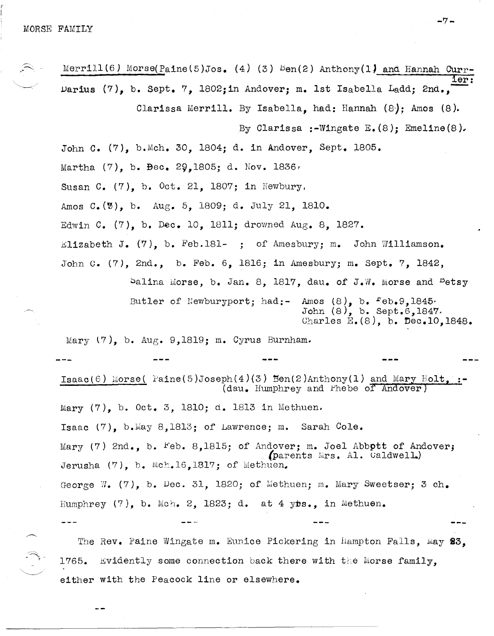Merrill(6) Morse(Paine(5)Jos. (4) (3)  $\text{Ben}(2)$  Anthony(1) and Hannah Currier: Darius (7), b. Sept. 7, 1802;in Andover; m. 1st Isabella Ladd; 2nd., Clarissa Merrill. By Isabella, had: Hannah (8); Amos (8). By Clarissa :-Wingate  $E_{\bullet}(8)$ ; Emeline(8). John C. (7), b.Mch. 30,1804; d. in Andover, Sept. 1805. Martha  $(7)$ , b. Bec. 29,1805; d. Nov. 1836, Susan C.  $(7)$ , b. Oct. 21, 1807; in Newbury, Amos C.(0), b. Aug. 5, 1809; d. July 21, 1810. Edwin C. (7), b. Dec. 10, 1811; drowned Aug. 8, 1827. Elizabeth J.  $(7)$ , b. Feb.181- ; of Amesbury; m. John Williamson. John c. (7), 2nd., b. Feb. 6, 1816; in Amesbury; m. sept. 7, 1842, Salina Morse, b. Jan. 8, 1817, dau. of J.W. Morse and <sup>B</sup>etsy Butler of Newburyport; had:- Amos  $(8)$ , b.  $Feb. 9,1845$ . John (8), b. Sept.6,1847. Charles  $E_{\bullet}(8)$ , b. Dec.10,1848. Mary  $(7)$ , b. Aug. 9,1819; m. Cyrus Burnham. Isaac(6) Morse(  $\text{Paine}(5) \text{Joseph}(4)(3)$   $\text{Ben}(2) \text{Anthony}(1)$  and Mary  $\text{Holt}_2$ . (dau. Humphrey and Phebe of Andover) Mary (7), b. Oct. 3, 1810; d. 1813 in Methuen, Isaac  $(7)$ , b. May 8,1813; of Lawrence; m. Sarah Cole. Mary (7) 2nd., b. Feb. 8,1815; of Andover; m. Joel Abbott of Andover; (parents Mrs. Al. Caldwell.) Jerusha  $(7)$ , b. Mch.16,1817; of Methuen. George W. (7), b. Dec. 31, 1820; of Methuen; m. Mary Sweetser; 3 ch. Humphrey  $(7)$ , b. Mch. 2, 1823; d. at 4  $ybs.$ , in Methuen.

The Rev. Paine Wingate m. Eunice Pickering in Hampton Falls, May 23, 1765. Evidently some connection back there with the Morse family. either with the Peacock line or elsewhere.

-7-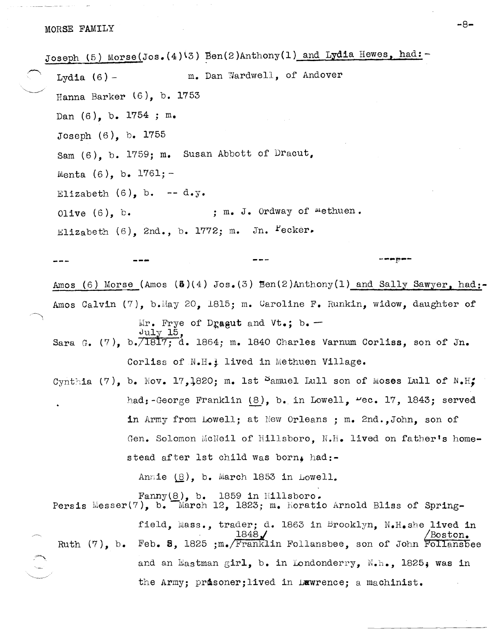.~. Joseph (5) Morse(Jos.(4)<sup>(3)</sup> Ben(2)Anthony(1) and Lydia Hewes, had: Lydia  $(6)$  - m. Dan Wardwell, of Andover Hanna Barker  $(6)$ , b. 1753 Dan (6), b. 1754 ; m. Joseph (6), b. 1755 Sam (6), b. 1759; m. Susan Abbott of Dracut, Menta  $(6)$ , b.  $1761; -$ Elizabeth  $(6)$ , b. -- d.y. Olive  $(6)$ , b. ; m. J. Ordway of methuen. Elizabeth (6), 2nd., b. 1772; m. Jn.  $Peker.$ *---p---* Amos (6) Morse (Amos  $(\mathbf{A})(4)$  Jos.(3) Ben(2)Anthony(1) and Sally Sawyer, had:-Amos Calvin (7), b.May 20, 1815; m. Caroline F. Runkin, widow, daughter of  $Mr.$  Frye of Dragut and Vt.; b. - $J$ uly 15,  $J$  1840 Charles Varnum Corliss, son of Jn. Corliss of N.H.<sup>1</sup> lived in Methuen Village. Cynthia (7), b. Nov. 17,1820; m. 1st Samuel Lull son of Moses Lull of N.H. had:-George Franklin  $(8)$ , b. in Lowell,  $\text{Vec. 17, 1843; served}$ in Army from Lowell; at New Orleans ; m. 2nd. ,John, son of Gen. Solomon McNeil of Hillsboro, N.H. lived on father's homestead after 1st child was born, had:-Annie  $(8)$ , b. March 1853 in Lowell. Fanny(8), b. 1859 in Hillsboro.<br>Persis Messer(7), b. March 12, 1823; m. Horatio Arnold Bliss of Spring-Ruth (7), b. field, Mass., trader; d. 1863 in Brooklyn, N.H.she lived in  $1848$  /  $\sqrt{3}$  /  $\sqrt{3}$ Feb. **8,** 1825 ;m. Franklin Follansbee, son of John Follansbee and an Eastman girl, b. in Londonderry,  $N_{\bullet}h_{\bullet}$ , 1825; was in

the Army; prosoner; lived in Luwrence; a machinist.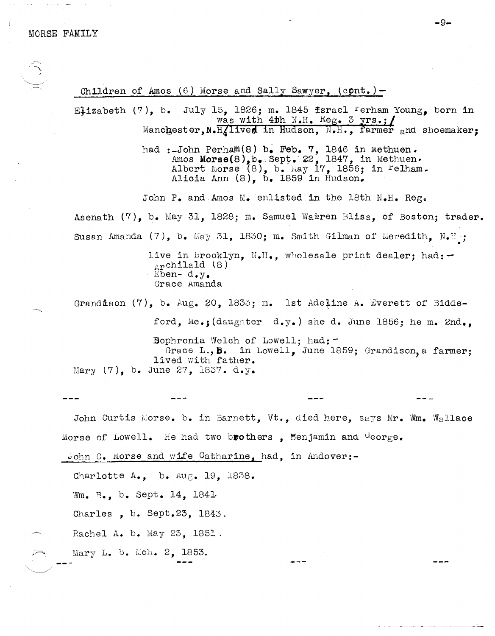Children of Amos (6) Morse and Sally Sawyer, **(cpnt.)-**

Elizabeth (7), b. July 15, 1826; m. 1845 fsrael  $F$ erham Young, born in was with 4th N.H. Reg. 3 yrs.;/ Manchester, N.H. lived in Hudson, N.H., farmer and shoemaker;

> had :-John Perham $(8)$  b. Feb. 7, 1846 in Methuen. Amos Morse $(8)$ ,  $b_$ . Sept. 22, 1847, in Methuen. Albert Morse  $(8)$ , b. May 17, 1856; in Felham. Alicia Ann (8), b. 1859 in Hudson.

John P. and Amos M. enlisted in the 18th N.H. Reg. Asenath (7), b. May 31, 1828; m. Samuel Warren Bliss, of Boston; trader. Susan Amanda (7), b. May 31, 1830; m. Smith Gilman of Meredith, N.H ; •

> live in Brooklyn, N.H., wholesale print dealer; had: $Archilald (8)$  $Eben- d. y.$ Grace Amanda

Grandison (7), b. Aug. 20, 1833; m. 1st Adefine A. Everett of Biddeford, Me.; (daughter d.y.) she d. June 1856; he m. 2nd., Bophronia Welch of Lowell: had: Grace L., **5.** in Lowell, June 1859; Grandison, a farmer; lived with father. Mary  $(7)$ , b. June 27, 1837. d.y.

John Curtis Morse. b. in Barnett, Vt., died here, says Mr. Wm. Wallace Morse of Lowell. He had two brothers , Benjamin and George.

John C. Morse and wife Catharine, had, in Andover:-

Charlotte A., b. Aug. 19, 1838.

Wm. B., b. Sept. 14, 1841.

Charles, b. Sept.23, 1843.

Rachel A. b. May 23, 1851.

Mary L. b. Mch. 2, 1853.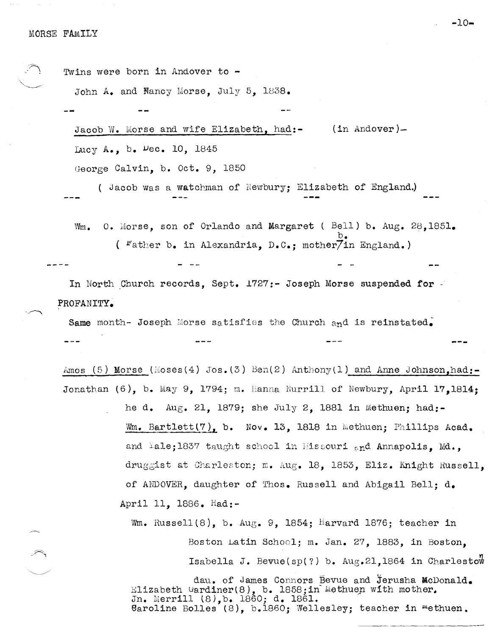| Twins were born in Andover to -          |                                                          |  |
|------------------------------------------|----------------------------------------------------------|--|
| John A. and Nancy Morse, July 5, 1838.   |                                                          |  |
|                                          |                                                          |  |
| Jacob W. Morse and wife Elizabeth. had:- | $(in Andover)$ –                                         |  |
| Lucy A., b. $Dec. 10, 1845$              |                                                          |  |
| George Calvin, b. Oct. 9, 1850           |                                                          |  |
|                                          | (Jacob was a watchman of Newbury; Elizabeth of England.) |  |

0. Morse, son of Orlando and Margaret ( Bell) b. Aug. 28,1851. Wm. ( Father b. in Alexandria, D.C.: mother/in England.)

In North Church records, Sept. 1727:- Joseph Morse suspended for PROFANITY.

Same month- Joseph Morse satisfies the Church and is reinstated.

Amos (5) Morse (Moses(4) Jos. (3) Ben(2) Anthony(1) and Anne Johnson, had:-Jonathan  $(6)$ , b. May 9, 1794; m. Hanna Nurrill of Newbury, April 17,1814: he d. Aug. 21, 1879; she July 2, 1881 in Methuen; had:-Wm. Bartlett(7), b. Nov. 13, 1818 in Methuen; Phillips Acad.

> and Yale; 1837 taught school in Missouri and Annapolis, Md., druggist at Charleston; m. Aug. 18, 1853, Eliz. Knight Russell. of ANDOVER, daughter of Thos. Russell and Abigail Bell; d. April 11, 1886. Had:-

Wm. Russell(8), b. Aug. 9, 1854; Harvard 1876; teacher in Boston Latin School; m. Jan. 27, 1883, in Boston. Isabella J. Bevue(sp(?) b. Aug.21,1864 in Charlestow

dau. of James Connors Bevue and Jerusha McDonald. Elizabeth Gardiner(8), b. 1858; in Methuen with mother. Jn. Merrill (8), b. 1860; d. 1861. Caroline Bolles (8), b.1860; Wellesley; teacher in methuen.

 $-10-$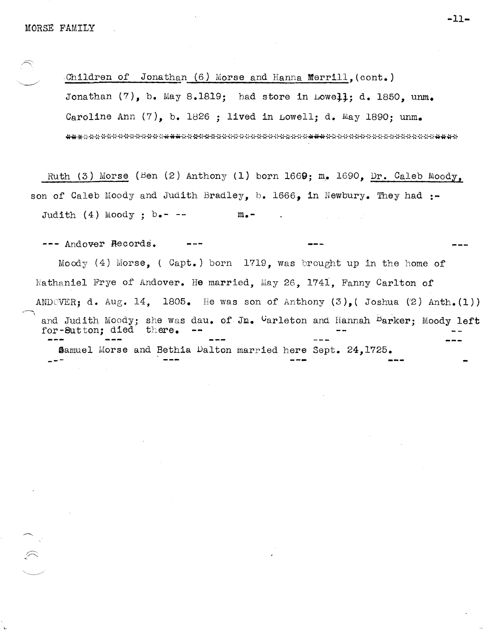\,

Children of Jonathan (6) Morse and Hanna Merrill, (cont.) Jonathan  $(7)$ , b. May 8.1819; had store in Lowell; d. 1850, unm. Caroline Ann  $(7)$ , b. 1826 ; lived in Lowell; d. May 1890; unm. 

Ruth (3) Morse (Ben (2) Anthony (1) born 1669; m. 1690, Dr. Caleb Moody, son of Caleb Moody and Judith Bradley, b. 1666, in Newbury. They had :-Judith  $(4)$  Moody; b.- --  $m_{\bullet}$ -

--- Andover Records.

Moody (4) Morse, (  $Capt.$  ) born 1719, was brought up in the home of Nathaniel Frye of Andover. He married, May 26, 1741, Fanny Carlton of ANDOVER; d. Aug. 14, 1805. He was son of Anthony  $(3)$ , Joshua  $(2)$  Anth.(1)) and Judith Moody; she was dau. of Jn. Garleton and Hannah Barker; Moody left for-SUtton; died there. Samuel Morse and Bethia Dalton married here Sept. 24,1725. -<br>---

-11-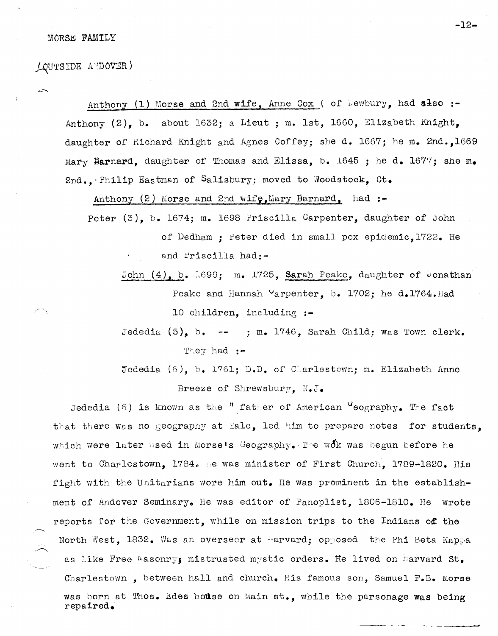### MORSB FAMILY

J-qUt'SIDE A/DOVER)

Anthony (1) Morse and 2nd wife, Anne Cox ( of  $\mathbb{N}$ ewbury, had also :-Anthony (2), b. about 1632; a Lieut ; m. 1st, 1660, Elizabeth Knight, daughter of Richard Knight and Agnes Coffey; she d. 1667; he m. 2nd.,1669 Mary Barnard, daughter of Thomas and Elissa, b. 1645; he d. 1677; she m. 2nd.. $\cdot$ Philip Eastman of Salisbury; moved to Woodstock, Ct.

Anthony (2) horse and 2nd wify,llary Barnard, **had:-**

Peter (3), b. 1674; m. 1698 Priscilla Carpenter, daughter of John of Dedham; feter died in small pox epidemic,1722. He and Priscilla had:-

John (4), b. 1699; m. 1725, Sarah Peake, daughter of Jonathan Peake and Hannah Varpenter, b. 1702; he d.1764. Had 10 children, including **:-**

Jededia  $(5)$ , b. -- ; m. 1746, Sarah Child; was Town clerk. 'E:ey had **:-**

Jededia (6), b. 1761; D.D. of Charlestown; m. Elizabeth Anne Breeze of Shrewsbury, N.J.

Jededia (6) is known as the " father of American "eography. The fact that there was no geography at Yale, led him to prepare notes for students. which were later used in Morse's Geography. The wok was begun before he went to Charlestown, 1784. Be was minister of First Church, 1789-1820. His fight with the Unitarians wore him out. He was prominent in the establishment of Andover Seminary. He was editor of Panoplist. 1806-1810. He wrote reports for the Government, while on mission trips to the Indians of the North West, 1832. Was an overseer at "arvard; opposed the Phi Beta Kappa as like Free Masonry, mistrusted mystic orders. He lived on Marvard St. Charlestown, between hall and church. His famous son, Samuel F.B. Morse was born at Thos. Edes house on Main st., while the parsonage was being repaired.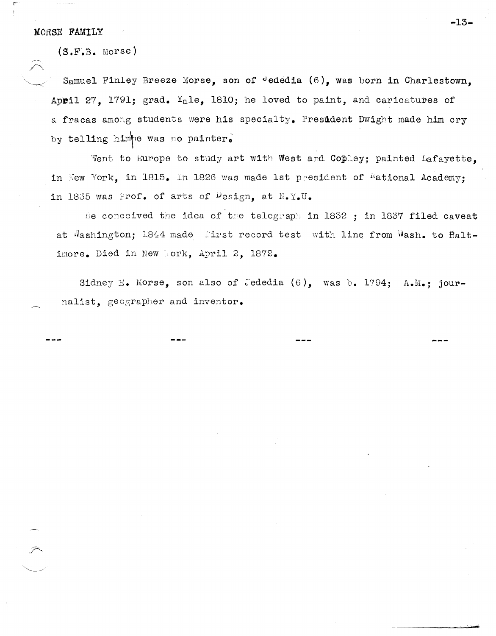### MORSE FAMILY

 $\begin{array}{c} \diagup \diagup \diagdown \end{array}$ 

(S.F.B. Morse)

Samuel Finley Breeze Morse, son of dededia (6), was born in Charlestown, April 27. 1791; grad.  $Y_{\alpha}$ le, 1810; he loved to paint, and caricatures of a fracas among students were his specialty. President Dwight made him cry by telling himpe was no painter.

Went to Europe to study art with West and Copley; painted Lafayette. in New York, in 1815. In 1826 was made 1st president of <sup>n</sup>ational Academy; in 1835 was Prof. of arts of  $\mathsf{Design}_\bullet$  at  $\mathbb{N}_\bullet\mathbb{Y}_\bullet\mathbb{U}_\bullet$ 

He conceived the idea of the telegraph in 1832 ; in 1837 filed caveat at Mashington; 1844 made first record test with line from Wash. to Baltimore. Died in New Mork, April 2, 1872.

Sidney E. Morse, son also of Jededia  $(6)$ , was b. 1794; A.M.; journalist, geographer and inventor.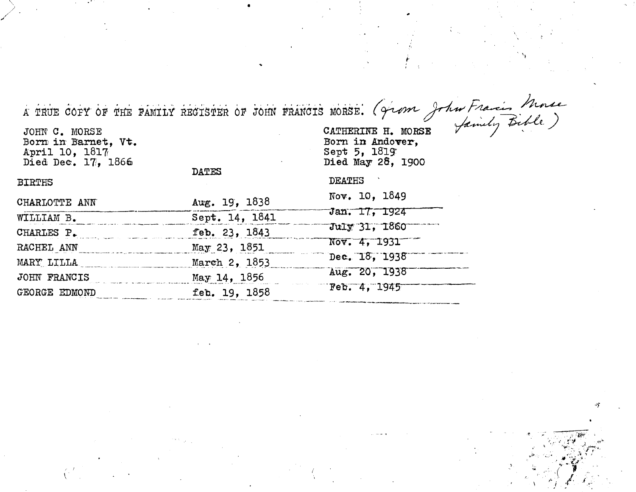À TRUE COPY OF THE FAMILY RECISTER OF JOHN FRANCIS MORSE. (Grom John Francis Morse Born in Barnet, Vt. Born in Andover. Sept 5, 1819 April 10, 1817 Died May 28, 1900 Died Dec. 17, 1866 **DATES DEATHS BIRTHS** Nov. 10, 1849 CHARLOTTE ANN Aug. 19, 1838 Jan. 17, 1924 WILLIAM B. Sept. 14, 1841 July 31, 1860 CHARLES P. feb. 23, 1843 Nov. 4, 1931 RACHEL ANN May 23, 1851 Dec. 18, 1938 MARY LILLA March 2, 1853 Aug. 20, 1938 JOHN FRANCIS May 14, 1856 Feb. 4, 1945 GEORGE EDMOND feb. 19, 1858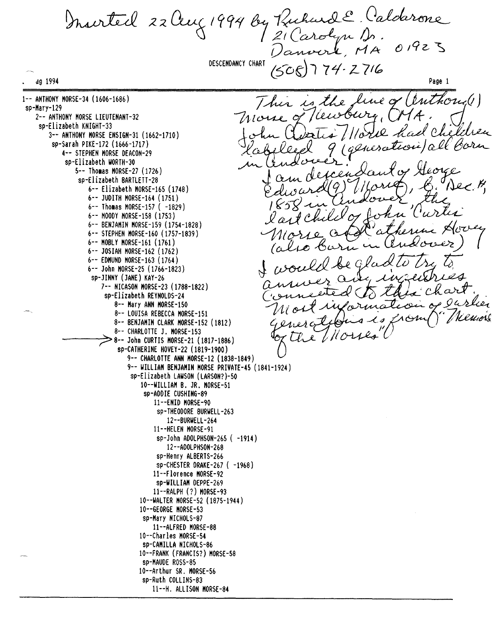Murtel 22 Aug 1994 by Rubard E. Calderone  $2(Carobun)$  $0192$  $L$   $MA$ DESCENDANCY CHART  $74.2716$ dg 1994 Page 1 uthou<sub>v</sub>(1) 1-- ANTHONY HORSE-34 (1606-1686) une of  $\mathcal{L}_{\ell}$ sp-Hary-129 2-- ANTHONY HORSE LIEUTENANT-32 sp-Elizabeth KNIGHT-33 l Che 3-- ANTHONY HORSE ENSIGN-31 (1662-1710) sp-Sarah PIKE-172 (1666-1717) tion/all orn 4-- STEPHEN HORSE DEACON-29 sp-Elizabeth WORTH-30 5-- Thomas MORSE-27 (1726) sp-Elizabeth BARTLETT-28  $N2C$ 6-- Elizabeth HORSE-16S (1748) 6-- JUDITH HORSE-164 (1751)  $6--$  Thomas MORSE-157 (  $-1829$ ) 6-- HOOOY HORSE-158 (1753) 6-- BENJAHIN HORSE-159 (1754-1828) 6-- STEPHEN HORSE-160 (1757-1839) 6-- HOBLY HORSE-161 (1761) 6-- JOSIAH HORSE-162 (1762) 6-- EDHUND HORSE-163 (1764) 6-- John HORSE-2S (1766-1823) sp-JINNY (JANE) KAY-26 7-- NICASON HORSE-23 (1788-1822) sp-Elizabeth REYNOLDS-24 8-- Hary ANN HORSE-IS0 8-- LOUISA REBECCA HORSE-1Sl 8-- BENJAHIN CLARK HORSE-152 (1812) 8-- CHARLOTTE J. HORSE-1S3 ):> 8-- John CURTIS HORSE-21 (1817-1886) sp-CATHERINE HOVEY-22 (1819-1900) 9-- CHARLOTTE **ANN** HORSE-12 (1838-1849) 9-- WILLIAH BENJAHIN HORSE PRIYATE-4S (1841-1924) sp-Elizabeth LAWSON (LARSON?)-50 10--WILLIAH B. JR. HORSE-51 sp-AOOIE CUSHING-89 11--ENID HORSE-90 sp-THEOOORE BURWELL-263 12--BURWELL-264 Il--HELEN HORSE-9l sp-John ADOLPHSON-26S ( -1914) l2--AOOLPHSON-268 sp-Henry ALBERTS-266 sp-CHESTER ORAKE-267 ( -1968) ll--Florence HORSE-92 sp-WILLIAH OEPPE-269 ll--RALPH (?) HORSE-93 10--WALTER HORSE-52 (1875-1944) 10--GEORGE HORSE-53 sp-Hary NICHOLS-87 11--ALFRED HORSE-S8 10--Charles HORSE-54 sp-CAHILLA NICHOLS-86 10--FRANK (FRANCIS?) HORSE-58 sp-HAUDE ROSS-8S 10--Arthur SR. HORSE-56 sp-Ruth COLLINS-83 11--H. ALLISON HORSE-84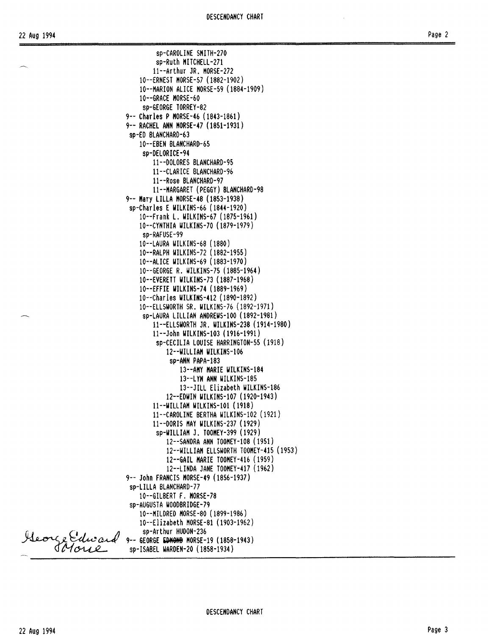sp-CAROLINE SHITH-270 sp-Ruth HITCHELL-271 11--Arthur JR. HORSE-272 10--ERNEST HORSE-57 (1882-1902) 10--HARION ALICE HORSE-59 (1884-1909) 10--GRACE HORSE-60 sp-GEORGE TORREY-82 9-- Charles P HORSE-46 (1843-1861) 9-- RACHEL ANN HORSE-47 (1851-1931) sp-EO BLANCHARO-63 10--EBEN BLANCHARO-65 sp-OELORICE-94 11--00LORES BLANCHARO-95 l1--CLARICE BLANCHARO-96 11--Rose BLANCHARO-97 11--HARGARET (PEGGY) BLANCHARO-98 9-- Hary LILLA HORSE-48 (1853-1938) sp-Charles E WILKINS-66 (1844-1920) 10--Frank L. WILKINS-67 (1875-1961) 10--CYNTHIA WILKINS-70 (1879-1979) sp-RAFUSE-99 10--LAURA WILKINS-68 (1880) 10--RALPH WILKINS-72 (1882-1955) 10--ALICE WILKINS-69 (1883-1970) 10--GEORGE R. WILKINS-75 (1885-1964) 10--EVERETT WILKINS-73 (1887-1968) 10--EFFIE WILKINS-74 (1889-1969) 10--Charles WILKINS-412 (1890-1892) 10--ELLSWORTH SR. WILKINS-76 (1892-1971) sp-LAURA LILLIAN ANOREWS-I00 (1892-1981) 11--ELLSWORTH JR. WILKINS-238 (1914-1980) 11--John WILKINS-I03 (1916-1991) sp-CECILIA LOUISE HARRINGTON-55 (1918) l2--WILLIAH WILKINS-l06 sp-ANN PAPA-183 13--AHY HARlE WILKINS-184 13--LYN ANN WILKINS-185 13--JILL Elizabeth WILKINS-186 12--EOWIN WILKINS-I07 (1920-1943) l1--WILLIAH WILKINS-I01 (1918) 11--CAROLINE BERTHA WILKINS-I02 (1921) 11--00RIS HAY WILKINS-237 (1929) sp-WILLIAH J. TOOHEY-399 (1929) 12--SANORA ANN TOOHEY-I08 (1951) 12--WILLIAH ELLSWORTH TOOHEY-415 (1953) 12--GAIL HARlE TOOHEY-416 (1959) 12--LINOA JANE TOOHEY-417 (1962) 9-- John FRANCIS HORSE-49 (1856-1937) sp-LILLA BLANCHARO-77 10--GILBERT F. HORSE-78 sp-AUGUSTA WOOOBRIOGE-79 10--HILOREO HORSE-80 (1899-1986) 10--Elizabeth HORSE-81 (1903-1962)

sp-Arthur HUOON-236

9-- GEORGE EDMOND MORSE-19 (1858-1943) sp-ISABEL WAROEN-20 (1858-1934)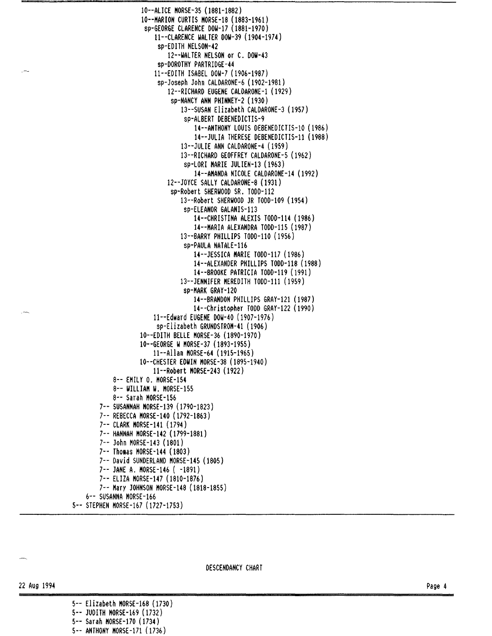```
10--ALICE HORSE-35 (1881-1882) 
                 10--HARION CURTIS HORSE-18 (1883-1961) 
                  sp-GEORGE CLARENCE DOW-17 (1881-1970) 
                     ll--CLARENCE WALTER DOW-39 (1904-1974) 
                      sp-EDITH NELSON-42 
                         12--WALTER NELSON or C. DOW-43 
                      sp-DOROTHY PARTRIDGE-44 
                     11--EDITH ISABEL DOW-7 (1906-1987) 
                      sp-Joseph John CALDARONE-6 (1902-1981) 
                         12--RICHARD EUGENE CALDARONE-1 (1929) 
                          sp-NANCY ANN PHINNEY-2 (1930) 
                             13--SUSAN Elizabeth CALDARONE-3 (1957) 
                              sp-ALBERT DEBENEDICTIS-9 
                                 14--ANTHONY LOUIS DEBENEDICTIS-10 (1986) 
                                 14--JULIA THERESE DEBENEDICTIS-11 (1988) 
                             13--JULIE ANN CALDARONE-4 (1959) 
                             13--RICHARD GEOFFREY CALDARONE-5 (1962) 
                              sp-LORI HARlE JULIEN-13 (1963) 
                                 14--AHANDA NICOLE CALDARONE-14 (1992) 
                         12--JOYCE SALLY CALDARONE-8 (1931) 
                          sp-Robert SHERWOOD SR. TODD-112 
                             13--Robert SHERWOOD JR TOOO-I09 (1954) 
                              sp-ELEANOR GALANIS-113 
                                 14--CHRISTINA ALEXIS TOOD-114 (1986) 
                                 14--HARIA ALEXANDRA TODD-115 (1987) 
                             13--BARRY PHILLIPS TOOO-I10 (1956) 
                              sp-PAULA NATALE-116 
                                 14--JESSICA HARlE TOOO-117 (1986) 
                                 14--ALEXANDER PHILLIPS TODD-118 (1988) 
                                 14--BROOKE PATRICIA TODO-119 (1991) 
                             13--JENNIFER HEREDITH TODD-l11 (1959) 
                              sp-HARK GRAY-120 
                                 14--BRANDON PHILLIPS GRAY-121 (1987) 
                                 14--Christopher TODD GRAY-122 (1990) 
                     11--Edward EUGENE DOW-40 (1907-1976) 
                     sp-Elizabeth GRUNDSTROH-41 (1906) 
                10--EDI1H BELLE HORSE-36 (1890-1970) 
                10--GEORGE W HORSE-37 (1893-1955) 
                     l1--Allan HORSE-64 (1915-1965) 
                10--CHESTER EDWIN HORSE-38 (1895-1940) 
                    l1--Robert HORSE-243 (1922) 
        8-- EHILY O. HORSE-154 
        8-- WILLIAH W. HORSE-155 
        8-- Sarah HORSE-156 
    7-- SUSANNAH HORSE-139 (1790-1823) 
    7-- REBECCA HORSE-140 (1792-1863) 
    7-- CLARK HORSE-141 (1794) 
    7-- HANNAH HORSE-142 (1799-1881) 
    7-- John HORSE-143 (1801) 
    7-- Thomas MORSE-144 (1803)
   7-- David SUNDERLAND HORSE-145 (1805) 
   7-- JANE A. HORSE-146 ( -1891) 
    7-- ELIZA HORSE-147 (1810-1876) 
    7-- Hary JOHNSON HORSE-148 (1818-1855) 
6-- SUSANNA HORSE-166
```
DESCENOANCY CHART

5-- STEPHEN HORSE-167 (1727-1753)

22 Aug 1994

5-- Elizabeth HORSE-168 (1730) 5-- JUDITH HORSE-169 (1732) 5-- Sarah HORSE-170 (1734)

5-- ANTHONY HORSE-171 (1736)

Page 4